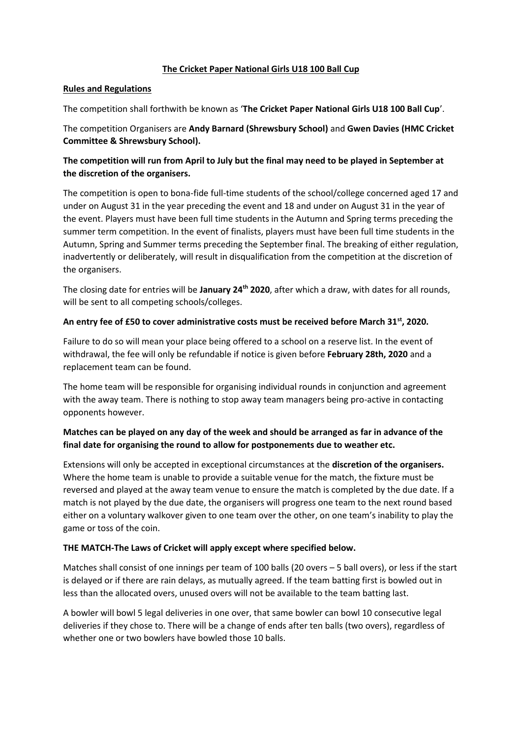## **The Cricket Paper National Girls U18 100 Ball Cup**

## **Rules and Regulations**

The competition shall forthwith be known as '**The Cricket Paper National Girls U18 100 Ball Cup**'.

The competition Organisers are **Andy Barnard (Shrewsbury School)** and **Gwen Davies (HMC Cricket Committee & Shrewsbury School).**

# **The competition will run from April to July but the final may need to be played in September at the discretion of the organisers.**

The competition is open to bona-fide full-time students of the school/college concerned aged 17 and under on August 31 in the year preceding the event and 18 and under on August 31 in the year of the event. Players must have been full time students in the Autumn and Spring terms preceding the summer term competition. In the event of finalists, players must have been full time students in the Autumn, Spring and Summer terms preceding the September final. The breaking of either regulation, inadvertently or deliberately, will result in disqualification from the competition at the discretion of the organisers.

The closing date for entries will be **January 24th 2020**, after which a draw, with dates for all rounds, will be sent to all competing schools/colleges.

## **An entry fee of £50 to cover administrative costs must be received before March 31st, 2020.**

Failure to do so will mean your place being offered to a school on a reserve list. In the event of withdrawal, the fee will only be refundable if notice is given before **February 28th, 2020** and a replacement team can be found.

The home team will be responsible for organising individual rounds in conjunction and agreement with the away team. There is nothing to stop away team managers being pro-active in contacting opponents however.

# **Matches can be played on any day of the week and should be arranged as far in advance of the final date for organising the round to allow for postponements due to weather etc.**

Extensions will only be accepted in exceptional circumstances at the **discretion of the organisers.** Where the home team is unable to provide a suitable venue for the match, the fixture must be reversed and played at the away team venue to ensure the match is completed by the due date. If a match is not played by the due date, the organisers will progress one team to the next round based either on a voluntary walkover given to one team over the other, on one team's inability to play the game or toss of the coin.

## **THE MATCH-The Laws of Cricket will apply except where specified below.**

Matches shall consist of one innings per team of 100 balls (20 overs – 5 ball overs), or less if the start is delayed or if there are rain delays, as mutually agreed. If the team batting first is bowled out in less than the allocated overs, unused overs will not be available to the team batting last.

A bowler will bowl 5 legal deliveries in one over, that same bowler can bowl 10 consecutive legal deliveries if they chose to. There will be a change of ends after ten balls (two overs), regardless of whether one or two bowlers have bowled those 10 balls.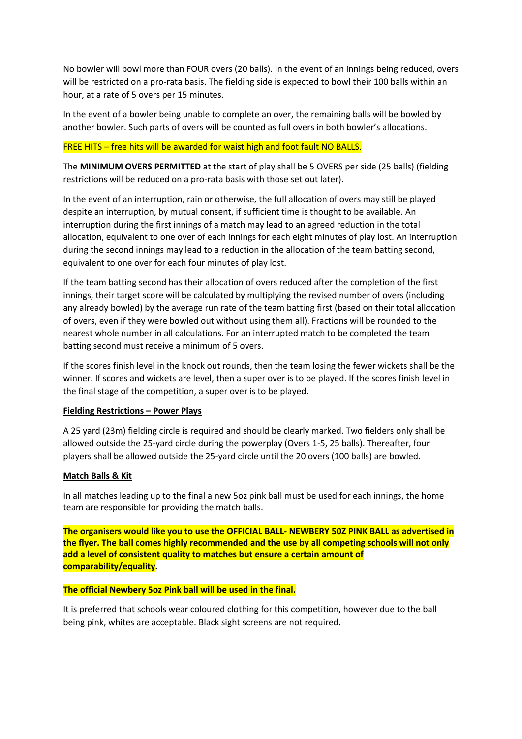No bowler will bowl more than FOUR overs (20 balls). In the event of an innings being reduced, overs will be restricted on a pro-rata basis. The fielding side is expected to bowl their 100 balls within an hour, at a rate of 5 overs per 15 minutes.

In the event of a bowler being unable to complete an over, the remaining balls will be bowled by another bowler. Such parts of overs will be counted as full overs in both bowler's allocations.

## FREE HITS – free hits will be awarded for waist high and foot fault NO BALLS.

The **MINIMUM OVERS PERMITTED** at the start of play shall be 5 OVERS per side (25 balls) (fielding restrictions will be reduced on a pro-rata basis with those set out later).

In the event of an interruption, rain or otherwise, the full allocation of overs may still be played despite an interruption, by mutual consent, if sufficient time is thought to be available. An interruption during the first innings of a match may lead to an agreed reduction in the total allocation, equivalent to one over of each innings for each eight minutes of play lost. An interruption during the second innings may lead to a reduction in the allocation of the team batting second, equivalent to one over for each four minutes of play lost.

If the team batting second has their allocation of overs reduced after the completion of the first innings, their target score will be calculated by multiplying the revised number of overs (including any already bowled) by the average run rate of the team batting first (based on their total allocation of overs, even if they were bowled out without using them all). Fractions will be rounded to the nearest whole number in all calculations. For an interrupted match to be completed the team batting second must receive a minimum of 5 overs.

If the scores finish level in the knock out rounds, then the team losing the fewer wickets shall be the winner. If scores and wickets are level, then a super over is to be played. If the scores finish level in the final stage of the competition, a super over is to be played.

### **Fielding Restrictions – Power Plays**

A 25 yard (23m) fielding circle is required and should be clearly marked. Two fielders only shall be allowed outside the 25-yard circle during the powerplay (Overs 1-5, 25 balls). Thereafter, four players shall be allowed outside the 25-yard circle until the 20 overs (100 balls) are bowled.

### **Match Balls & Kit**

In all matches leading up to the final a new 5oz pink ball must be used for each innings, the home team are responsible for providing the match balls.

**The organisers would like you to use the OFFICIAL BALL- NEWBERY 50Z PINK BALL as advertised in the flyer. The ball comes highly recommended and the use by all competing schools will not only add a level of consistent quality to matches but ensure a certain amount of comparability/equality.**

### **The official Newbery 5oz Pink ball will be used in the final.**

It is preferred that schools wear coloured clothing for this competition, however due to the ball being pink, whites are acceptable. Black sight screens are not required.